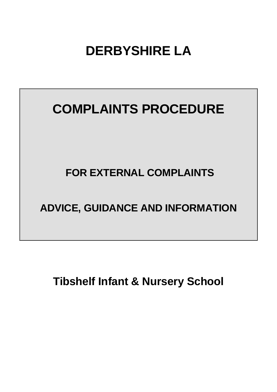# **DERBYSHIRE LA**

# **COMPLAINTS PROCEDURE**

## **FOR EXTERNAL COMPLAINTS**

## **ADVICE, GUIDANCE AND INFORMATION**

**Tibshelf Infant & Nursery School**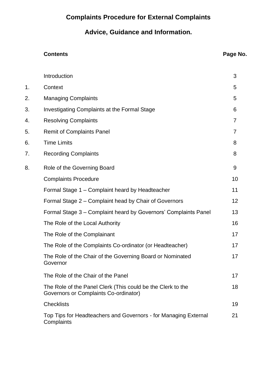## **Complaints Procedure for External Complaints**

## **Advice, Guidance and Information.**

#### **Contents Page No.**

|    | Introduction                                                                                         | 3  |
|----|------------------------------------------------------------------------------------------------------|----|
| 1. | Context                                                                                              | 5  |
| 2. | <b>Managing Complaints</b>                                                                           | 5  |
| 3. | Investigating Complaints at the Formal Stage                                                         | 6  |
| 4. | <b>Resolving Complaints</b>                                                                          | 7  |
| 5. | <b>Remit of Complaints Panel</b>                                                                     | 7  |
| 6. | <b>Time Limits</b>                                                                                   | 8  |
| 7. | <b>Recording Complaints</b>                                                                          | 8  |
| 8. | Role of the Governing Board                                                                          | 9  |
|    | <b>Complaints Procedure</b>                                                                          | 10 |
|    | Formal Stage 1 – Complaint heard by Headteacher                                                      | 11 |
|    | Formal Stage 2 - Complaint head by Chair of Governors                                                | 12 |
|    | Formal Stage 3 – Complaint heard by Governors' Complaints Panel                                      | 13 |
|    | The Role of the Local Authority                                                                      | 16 |
|    | The Role of the Complainant                                                                          | 17 |
|    | The Role of the Complaints Co-ordinator (or Headteacher)                                             | 17 |
|    | The Role of the Chair of the Governing Board or Nominated<br>Governor                                | 17 |
|    | The Role of the Chair of the Panel                                                                   | 17 |
|    | The Role of the Panel Clerk (This could be the Clerk to the<br>Governors or Complaints Co-ordinator) | 18 |
|    | <b>Checklists</b>                                                                                    | 19 |
|    | Top Tips for Headteachers and Governors - for Managing External<br>Complaints                        | 21 |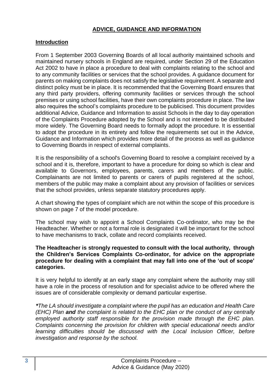#### **ADVICE, GUIDANCE AND INFORMATION**

#### **Introduction**

From 1 September 2003 Governing Boards of all local authority maintained schools and maintained nursery schools in England are required, under Section 29 of the Education Act 2002 to have in place a procedure to deal with complaints relating to the school and to any community facilities or services that the school provides. A guidance document for parents on making complaints does not satisfy the legislative requirement. A separate and distinct policy must be in place. It is recommended that the Governing Board ensures that any third party providers, offering community facilities or services through the school premises or using school facilities, have their own complaints procedure in place. The law also requires the school's complaints procedure to be publicised. This document provides additional Advice, Guidance and Information to assist Schools in the day to day operation of the Complaints Procedure adopted by the School and is not intended to be distributed more widely. The Governing Board needs to formally adopt the procedure. It is essential to adopt the procedure in its entirety and follow the requirements set out in the Advice, Guidance and Information which provides more detail of the process as well as guidance to Governing Boards in respect of external complaints.

It is the responsibility of a school's Governing Board to resolve a complaint received by a school and it is, therefore, important to have a procedure for doing so which is clear and available to Governors, employees, parents, carers and members of the public. Complainants are not limited to parents or carers of pupils registered at the school, members of the public may make a complaint about any provision of facilities or services that the school provides, unless separate statutory procedures apply.

A chart showing the types of complaint which are not within the scope of this procedure is shown on page 7 of the model procedure.

The school may wish to appoint a School Complaints Co-ordinator, who may be the Headteacher. Whether or not a formal role is designated it will be important for the school to have mechanisms to track, collate and record complaints received.

#### **The Headteacher is strongly requested to consult with the local authority, through the Children's Services Complaints Co-ordinator, for advice on the appropriate procedure for dealing with a complaint that may fall into one of the 'out of scope' categories.**

It is very helpful to identify at an early stage any complaint where the authority may still have a role in the process of resolution and for specialist advice to be offered where the issues are of considerable complexity or demand particular expertise.

*\*The LA should investigate a complaint where the pupil has an education and Health Care (EHC) Plan and the complaint is related to the EHC plan or the conduct of any centrally employed authority staff responsible for the provision made through the EHC plan. Complaints concerning the provision for children with special educational needs and/or learning difficulties should be discussed with the Local Inclusion Officer, before investigation and response by the school.*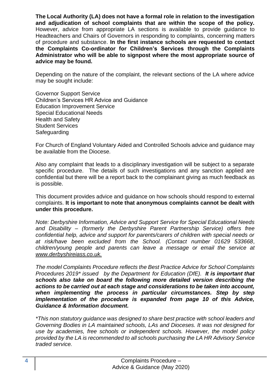**The Local Authority (LA) does not have a formal role in relation to the investigation and adjudication of school complaints that are within the scope of the policy.**  However, advice from appropriate LA sections is available to provide guidance to Headteachers and Chairs of Governors in responding to complaints, concerning matters of procedure and substance. **In the first instance schools are requested to contact the Complaints Co-ordinator for Children's Services through the Complaints Administrator who will be able to signpost where the most appropriate source of advice may be found.** 

Depending on the nature of the complaint, the relevant sections of the LA where advice may be sought include:

Governor Support Service Children's Services HR Advice and Guidance Education Improvement Service Special Educational Needs Health and Safety Student Services **Safeguarding** 

For Church of England Voluntary Aided and Controlled Schools advice and guidance may be available from the Diocese.

Also any complaint that leads to a disciplinary investigation will be subject to a separate specific procedure. The details of such investigations and any sanction applied are confidential but there will be a report back to the complainant giving as much feedback as is possible.

This document provides advice and guidance on how schools should respond to external complaints. **It is important to note that anonymous complaints cannot be dealt with under this procedure.**

*Note: Derbyshire Information, Advice and Support Service for Special Educational Needs and Disability – (formerly the Derbyshire Parent Partnership Service) offers free confidential help, advice and support for parents/carers of children with special needs or at risk/have been excluded from the School. (Contact number 01629 533668*, *children/young people and parents can leave a message or email the service at [www.derbyshireiass.co.uk.](http://www.derbyshireiass.co.uk/)*

*The model Complaints Procedure reflects the Best Practice Advice for School Complaints Procedures 2019\* issued by the Department for Education (DfE). It is important that schools also take on board the following more detailed version describing the actions to be carried out at each stage and considerations to be taken into account, when implementing the process in particular circumstances. Step by step implementation of the procedure is expanded from page 10 of this Advice, Guidance & Information document.* 

*\*This non statutory guidance was designed to share best practice with school leaders and Governing Bodies in LA maintained schools, LAs and Dioceses. It was not designed for use by academies, free schools or independent schools. However, the model policy provided by the LA is recommended to all schools purchasing the LA HR Advisory Service traded service.*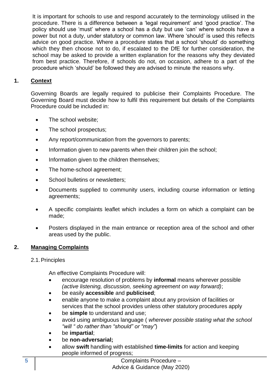It is important for schools to use and respond accurately to the terminology utilised in the procedure. There is a difference between a 'legal requirement' and 'good practice'. The policy should use 'must' where a school has a duty but use 'can' where schools have a power but not a duty, under statutory or common law. Where 'should' is used this reflects advice on good practice. Where a procedure states that a school 'should' do something which they then choose not to do, if escalated to the DfE for further consideration, the school may be asked to provide a written explanation for the reasons why they deviated from best practice. Therefore, if schools do not, on occasion, adhere to a part of the procedure which 'should' be followed they are advised to minute the reasons why.

#### **1. Context**

Governing Boards are legally required to publicise their Complaints Procedure. The Governing Board must decide how to fulfil this requirement but details of the Complaints Procedure could be included in:

- The school website:
- The school prospectus;
- Any report/communication from the governors to parents;
- Information given to new parents when their children join the school;
- Information given to the children themselves;
- The home-school agreement;
- School bulletins or newsletters;
- Documents supplied to community users, including course information or letting agreements;
- A specific complaints leaflet which includes a form on which a complaint can be made;
- Posters displayed in the main entrance or reception area of the school and other areas used by the public.

#### **2. Managing Complaints**

#### 2.1.Principles

An effective Complaints Procedure will:

- encourage resolution of problems by **informal** means wherever possible *(active listening, discussion, seeking agreement on way forward)*;
- be easily **accessible** and **publicised**;
- enable anyone to make a complaint about any provision of facilities or services that the school provides unless other statutory procedures apply
- be **simple** to understand and use;
- avoid using ambiguous language ( *wherever possible stating what the school "will " do rather than "should" or "may"*)
- be **impartial**;
- be **non-adversarial;**
- allow **swift** handling with established **time-limits** for action and keeping people informed of progress;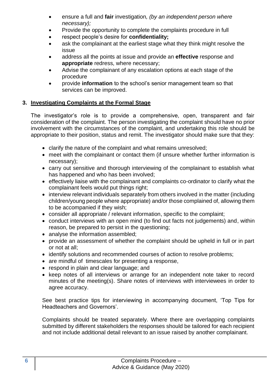- ensure a full and **fair** investigation*, (by an independent person where necessary);*
- Provide the opportunity to complete the complaints procedure in full
- respect people's desire for **confidentiality;**
- ask the complainant at the earliest stage what they think might resolve the issue
- address all the points at issue and provide an **effective** response and **appropriate** redress, where necessary;
- Advise the complainant of any escalation options at each stage of the procedure
- provide **information** to the school's senior management team so that services can be improved.

#### **3. Investigating Complaints at the Formal Stage**

The investigator's role is to provide a comprehensive, open, transparent and fair consideration of the complaint. The person investigating the complaint should have no prior involvement with the circumstances of the complaint, and undertaking this role should be appropriate to their position, status and remit. The investigator should make sure that they:

- clarify the nature of the complaint and what remains unresolved;
- meet with the complainant or contact them (if unsure whether further information is necessary);
- carry out sensitive and thorough interviewing of the complainant to establish what has happened and who has been involved;
- effectively liaise with the complainant and complaints co-ordinator to clarify what the complainant feels would put things right;
- interview relevant individuals separately from others involved in the matter (including children/young people where appropriate) and/or those complained of, allowing them to be accompanied if they wish;
- consider all appropriate / relevant information, specific to the complaint;
- conduct interviews with an open mind (to find out facts not judgements) and, within reason, be prepared to persist in the questioning;
- analyse the information assembled:
- provide an assessment of whether the complaint should be upheld in full or in part or not at all;
- identify solutions and recommended courses of action to resolve problems;
- are mindful of timescales for presenting a response,
- respond in plain and clear language; and
- keep notes of all interviews or arrange for an independent note taker to record minutes of the meeting(s). Share notes of interviews with interviewees in order to agree accuracy.

See best practice tips for interviewing in accompanying document, 'Top Tips for Headteachers and Governors'.

Complaints should be treated separately. Where there are overlapping complaints submitted by different stakeholders the responses should be tailored for each recipient and not include additional detail relevant to an issue raised by another complainant.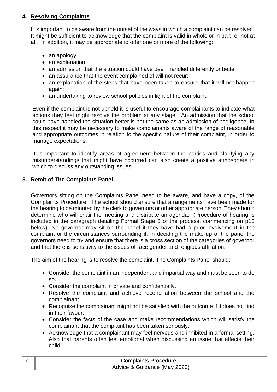#### **4. Resolving Complaints**

It is important to be aware from the outset of the ways in which a complaint can be resolved. It might be sufficient to acknowledge that the complaint is valid in whole or in part, or not at all. In addition, it may be appropriate to offer one or more of the following:

- an apology;
- an explanation;
- an admission that the situation could have been handled differently or better:
- an assurance that the event complained of will not recur;
- an explanation of the steps that have been taken to ensure that it will not happen again;
- an undertaking to review school policies in light of the complaint.

Even if the complaint is not upheld it is useful to encourage complainants to indicate what actions they feel might resolve the problem at any stage. An admission that the school could have handled the situation better is not the same as an admission of negligence. In this respect it may be necessary to make complainants aware of the range of reasonable and appropriate outcomes in relation to the specific nature of their complaint, in order to manage expectations.

It is important to identify areas of agreement between the parties and clarifying any misunderstandings that might have occurred can also create a positive atmosphere in which to discuss any outstanding issues.

#### **5. Remit of The Complaints Panel**

Governors sitting on the Complaints Panel need to be aware, and have a copy, of the Complaints Procedure. The school should ensure that arrangements have been made for the hearing to be minuted by the clerk to governors or other appropriate person. They should determine who will chair the meeting and distribute an agenda. (Procedure of hearing is included in the paragraph detailing Formal Stage 3 of the process, commencing on p13 below). No governor may sit on the panel if they have had a prior involvement in the complaint or the circumstances surrounding it. In deciding the make-up of the panel the governors need to try and ensure that there is a cross section of the categories of governor and that there is sensitivity to the issues of race gender and religious affiliation.

The aim of the hearing is to resolve the complaint. The Complaints Panel should:

- Consider the complaint in an independent and impartial way and must be seen to do so.
- Consider the complaint in private and confidentially.
- Resolve the complaint and achieve reconciliation between the school and the complainant.
- Recognise the complainant might not be satisfied with the outcome if it does not find in their favour.
- Consider the facts of the case and make recommendations which will satisfy the complainant that the complaint has been taken seriously.
- Acknowledge that a complainant may feel nervous and inhibited in a formal setting. Also that parents often feel emotional when discussing an issue that affects their child.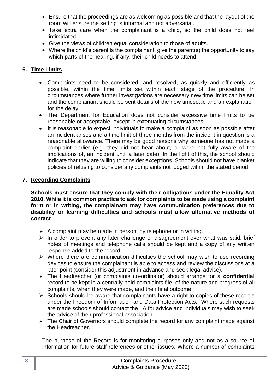- Ensure that the proceedings are as welcoming as possible and that the layout of the room will ensure the setting is informal and not adversarial.
- Take extra care when the complainant is a child, so the child does not feel intimidated.
- Give the views of children equal consideration to those of adults.
- Where the child's parent is the complainant, give the parent(s) the opportunity to say which parts of the hearing, if any, their child needs to attend.

#### **6. Time Limits**

- Complaints need to be considered, and resolved, as quickly and efficiently as possible, within the time limits set within each stage of the procedure. In circumstances where further investigations are necessary new time limits can be set and the complainant should be sent details of the new timescale and an explanation for the delay.
- The Department for Education does not consider excessive time limits to be reasonable or acceptable, except in extenuating circumstances.
- It is reasonable to expect individuals to make a complaint as soon as possible after an incident arises and a time limit of three months from the incident in question is a reasonable allowance. There may be good reasons why someone has not made a complaint earlier (e.g. they did not hear about, or were not fully aware of the implications of, an incident until a later date). In the light of this, the school should indicate that they are willing to consider exceptions. Schools should not have blanket policies of refusing to consider any complaints not lodged within the stated period.

#### **7. Recording Complaints**

**Schools must ensure that they comply with their obligations under the Equality Act 2010. While it is common practice to ask for complaints to be made using a complaint form or in writing, the complainant may have communication preferences due to disability or learning difficulties and schools must allow alternative methods of contact**.

- $\triangleright$  A complaint may be made in person, by telephone or in writing.
- ➢ In order to prevent any later challenge or disagreement over what was said, brief notes of meetings and telephone calls should be kept and a copy of any written response added to the record.
- ➢ Where there are communication difficulties the school may wish to use recording devices to ensure the complainant is able to access and review the discussions at a later point (consider this adjustment in advance and seek legal advice).
- ➢ The Headteacher (or complaints co-ordinator) should arrange for a **confidential** record to be kept in a centrally held complaints file, of the nature and progress of all complaints, when they were made, and their final outcome.
- ➢ Schools should be aware that complainants have a right to copies of these records under the Freedom of Information and Data Protection Acts. Where such requests are made schools should contact the LA for advice and individuals may wish to seek the advice of their professional association.
- ➢ The Chair of Governors should complete the record for any complaint made against the Headteacher.

The purpose of the Record is for monitoring purposes only and not as a source of information for future staff references or other issues. Where a number of complaints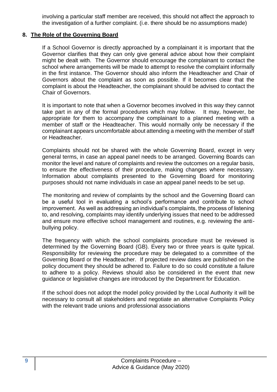involving a particular staff member are received, this should not affect the approach to the investigation of a further complaint. (i.e. there should be no assumptions made)

#### **8. The Role of the Governing Board**

If a School Governor is directly approached by a complainant it is important that the Governor clarifies that they can only give general advice about how their complaint might be dealt with. The Governor should encourage the complainant to contact the school where arrangements will be made to attempt to resolve the complaint informally in the first instance. The Governor should also inform the Headteacher and Chair of Governors about the complaint as soon as possible. If it becomes clear that the complaint is about the Headteacher, the complainant should be advised to contact the Chair of Governors.

It is important to note that when a Governor becomes involved in this way they cannot take part in any of the formal procedures which may follow. It may, however, be appropriate for them to accompany the complainant to a planned meeting with a member of staff or the Headteacher. This would normally only be necessary if the complainant appears uncomfortable about attending a meeting with the member of staff or Headteacher.

Complaints should not be shared with the whole Governing Board, except in very general terms, in case an appeal panel needs to be arranged. Governing Boards can monitor the level and nature of complaints and review the outcomes on a regular basis, to ensure the effectiveness of their procedure, making changes where necessary. Information about complaints presented to the Governing Board for monitoring purposes should not name individuals in case an appeal panel needs to be set up.

The monitoring and review of complaints by the school and the Governing Board can be a useful tool in evaluating a school's performance and contribute to school improvement. As well as addressing an individual's complaints, the process of listening to, and resolving, complaints may identify underlying issues that need to be addressed and ensure more effective school management and routines, e.g. reviewing the antibullying policy.

The frequency with which the school complaints procedure must be reviewed is determined by the Governing Board (GB). Every two or three years is quite typical. Responsibility for reviewing the procedure may be delegated to a committee of the Governing Board or the Headteacher. If projected review dates are published on the policy document they should be adhered to. Failure to do so could constitute a failure to adhere to a policy. Reviews should also be considered in the event that new guidance or legislative changes are introduced by the Department for Education.

If the school does not adopt the model policy provided by the Local Authority it will be necessary to consult all stakeholders and negotiate an alternative Complaints Policy with the relevant trade unions and professional associations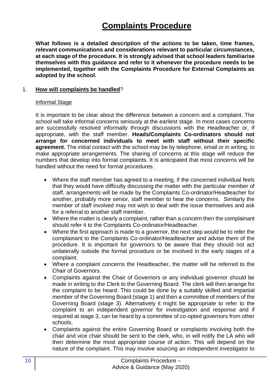## **Complaints Procedure**

**What follows is a detailed description of the actions to be taken, time frames, relevant communications and considerations relevant to particular circumstances, at each stage of the procedure. It is strongly advised that school leaders familiarise themselves with this guidance and refer to it whenever the procedure needs to be implemented, together with the Complaints Procedure for External Complaints as adopted by the school.**

#### 1. **How will complaints be handled**?

#### Informal Stage

It is important to be clear about the difference between a concern and a complaint. The school will take informal concerns seriously at the earliest stage. In most cases concerns are successfully resolved informally through discussions with the Headteacher or, if appropriate, with the staff member. **Heads/Complaints Co-ordinators should not arrange for concerned individuals to meet with staff without their specific agreement.** The initial contact with the school may be by telephone, email or in writing, to make appropriate arrangements. The sharing of concerns at this stage will reduce the numbers that develop into formal complaints. It is anticipated that most concerns will be handled without the need for formal procedures.

- Where the staff member has agreed to a meeting, if the concerned individual feels that they would have difficulty discussing the matter with the particular member of staff, arrangements will be made by the Complaints Co-ordinator/Headteacher for another, probably more senior, staff member to hear the concerns. Similarly the member of staff involved may not wish to deal with the issue themselves and ask for a referral to another staff member.
- Where the matter is clearly a complaint, rather than a concern then the complainant should refer it to the Complaints Co-ordinator/Headteacher.
- Where the first approach is made to a governor, the next step would be to refer the complainant to the Complaints Co-ordinator/Headteacher and advise them of the procedure. It is important for governors to be aware that they should not act unilaterally outside the formal procedure or be involved in the early stages of a complaint.
- Where a complaint concerns the Headteacher, the matter will be referred to the Chair of Governors.
- Complaints against the Chair of Governors or any individual governor should be made in writing to the Clerk to the Governing Board. The clerk will then arrange for the complaint to be heard. This could be done by a suitably skilled and impartial member of the Governing Board (stage 1) and then a committee of members of the Governing Board (stage 3). Alternatively it might be appropriate to refer to the complaint to an independent governor for investigation and response and if required at stage 3, can be heard by a committee of co-opted governors from other schools.
- Complaints against the entire Governing Board or complaints involving both the chair and vice chair should be sent to the clerk, who, in will notify the LA who will then determine the most appropriate course of action. This will depend on the nature of the complaint. This may involve sourcing an independent investigator to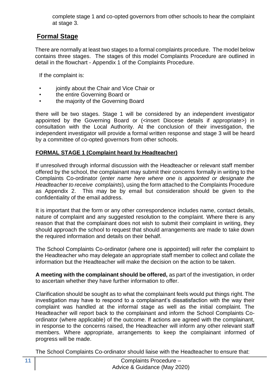complete stage 1 and co-opted governors from other schools to hear the complaint at stage 3.

### **Formal Stage**

There are normally at least two stages to a formal complaints procedure. The model below contains three stages. The stages of this model Complaints Procedure are outlined in detail in the flowchart - Appendix 1 of the Complaints Procedure.

If the complaint is:

- jointly about the Chair and Vice Chair or
- the entire Governing Board or
- the majority of the Governing Board

there will be two stages. Stage 1 will be considered by an independent investigator appointed by the Governing Board or (<insert Diocese details if appropriate>) in consultation with the Local Authority. At the conclusion of their investigation, the independent investigator will provide a formal written response and stage 3 will be heard by a committee of co-opted governors from other schools.

#### **FORMAL STAGE 1 (Complaint heard by Headteacher)**

If unresolved through informal discussion with the Headteacher or relevant staff member offered by the school, the complainant may submit their concerns formally in writing to the Complaints Co-ordinator (*enter name here where one is appointed or designate the Headteacher to receive complaints*), using the form attached to the Complaints Procedure as Appendix 2. This may be by email but consideration should be given to the confidentiality of the email address.

It is important that the form or any other correspondence includes name, contact details, nature of complaint and any suggested resolution to the complaint. Where there is any reason that that the complainant does not wish to submit their complaint in writing, they should approach the school to request that should arrangements are made to take down the required information and details on their behalf.

The School Complaints Co-ordinator (where one is appointed) will refer the complaint to the Headteacher who may delegate an appropriate staff member to collect and collate the information but the Headteacher will make the decision on the action to be taken.

**A meeting with the complainant should be offered,** as part of the investigation, in order to ascertain whether they have further information to offer.

Clarification should be sought as to what the complainant feels would put things right. The investigation may have to respond to a complainant's dissatisfaction with the way their complaint was handled at the informal stage as well as the initial complaint. The Headteacher will report back to the complainant and inform the School Complaints Coordinator (where applicable) of the outcome. If actions are agreed with the complainant, in response to the concerns raised, the Headteacher will inform any other relevant staff members. Where appropriate, arrangements to keep the complainant informed of progress will be made.

The School Complaints Co-ordinator should liaise with the Headteacher to ensure that: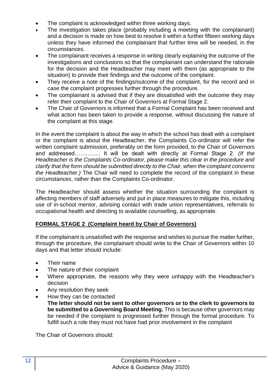- The complaint is acknowledged within three working days.
- The investigation takes place (probably including a meeting with the complainant) and a decision is made on how best to resolve it within a further fifteen working days unless they have informed the complainant that further time will be needed, in the circumstances.
- The complainant receives a response in writing clearly explaining the outcome of the investigations and conclusions so that the complainant can understand the rationale for the decision and the Headteacher may meet with them (as appropriate to the situation) to provide their findings and the outcome of the complaint.
- They receive a note of the findings/outcome of the complaint, for the record and in case the complaint progresses further through the procedure.
- The complainant is advised that if they are dissatisfied with the outcome they may refer their complaint to the Chair of Governors at Formal Stage 2.
- The Chair of Governors is informed that a Formal Complaint has been received and what action has been taken to provide a response, without discussing the nature of the complaint at this stage.

In the event the complaint is about the way in which the school has dealt with a complaint or the complaint is about the Headteacher, the Complaints Co-ordinator will refer the written complaint submission, preferably on the form provided, to the Chair of Governors and addressed………….. It will be dealt with directly at Formal Stage 2. *(If the Headteacher is the Complaints Co-ordinator, please make this clear in the procedure and clarify that the form should be submitted directly to the Chair, when the complaint concerns the Headteacher.)* The Chair will need to complete the record of the complaint in these circumstances, rather than the Complaints Co-ordinator.

The Headteacher should assess whether the situation surrounding the complaint is affecting members of staff adversely and put in place measures to mitigate this, including use of in-school mentor, advising contact with trade union representatives, referrals to occupational health and directing to available counselling, as appropriate.

#### **FORMAL STAGE 2 (Complaint heard by Chair of Governors)**

If the complainant is unsatisfied with the response and wishes to pursue the matter further, through the procedure, the complainant should write to the Chair of Governors within 10 days and that letter should include:

- Their name
- The nature of their complaint
- Where appropriate, the reasons why they were unhappy with the Headteacher's decision
- Any resolution they seek
- How they can be contacted
	- **The letter should not be sent to other governors or to the clerk to governors to be submitted to a Governing Board Meeting.** This is because other governors may be needed if the complaint is progressed further through the formal procedure. To fulfill such a role they must not have had prior involvement in the complaint

The Chair of Governors should: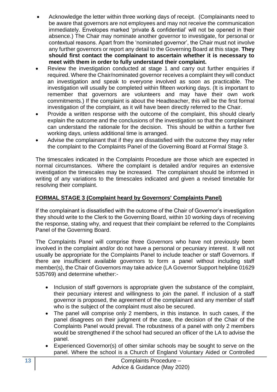- Acknowledge the letter within three working days of receipt. (Complainants need to be aware that governors are not employees and may not receive the communication immediately. Envelopes marked 'private & confidential' will not be opened in their absence.) The Chair may nominate another governor to investigate, for personal or contextual reasons. Apart from the 'nominated governor', the Chair must not involve any further governors or report any detail to the Governing Board at this stage. **They should first contact the complainant to ascertain whether it is necessary to meet with them in order to fully understand their complaint.**
- Review the investigation conducted at stage 1 and carry out further enquiries if required. Where the Chair/nominated governor receives a complaint they will conduct an investigation and speak to everyone involved as soon as practicable. The investigation will usually be completed within fifteen working days. (It is important to remember that governors are volunteers and may have their own work commitments.) If the complaint is about the Headteacher, this will be the first formal investigation of the complaint, as it will have been directly referred to the Chair.
- Provide a written response with the outcome of the complaint, this should clearly explain the outcome and the conclusions of the investigation so that the complainant can understand the rationale for the decision. This should be within a further five working days, unless additional time is arranged.
- Advise the complainant that if they are dissatisfied with the outcome they may refer the complaint to the Complaints Panel of the Governing Board at Formal Stage 3.

The timescales indicated in the Complaints Procedure are those which are expected in normal circumstances. Where the complaint is detailed and/or requires an extensive investigation the timescales may be increased. The complainant should be informed in writing of any variations to the timescales indicated and given a revised timetable for resolving their complaint.

#### **FORMAL STAGE 3 (Complaint heard by Governors' Complaints Panel)**

If the complainant is dissatisfied with the outcome of the Chair of Governor's investigation they should write to the Clerk to the Governing Board, within 10 working days of receiving the response, stating why, and request that their complaint be referred to the Complaints Panel of the Governing Board.

The Complaints Panel will comprise three Governors who have not previously been involved in the complaint and/or do not have a personal or pecuniary interest. It will not usually be appropriate for the Complaints Panel to include teacher or staff Governors. If there are insufficient available governors to form a panel without including staff member(s), the Chair of Governors may take advice (LA Governor Support helpline 01629 535769) and determine whether:-

- Inclusion of staff governors is appropriate given the substance of the complaint, their pecuniary interest and willingness to join the panel. If inclusion of a staff governor is proposed, the agreement of the complainant and any member of staff who is the subject of the complaint must also be secured.
- The panel will comprise only 2 members, in this instance. In such cases, if the panel disagrees on their judgment of the case, the decision of the Chair of the Complaints Panel would prevail. The robustness of a panel with only 2 members would be strengthened if the school had secured an officer of the LA to advise the panel.
- Experienced Governor(s) of other similar schools may be sought to serve on the panel. Where the school is a Church of England Voluntary Aided or Controlled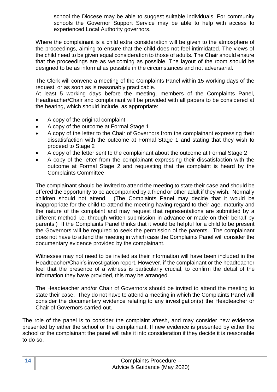school the Diocese may be able to suggest suitable individuals. For community schools the Governor Support Service may be able to help with access to experienced Local Authority governors.

Where the complainant is a child extra consideration will be given to the atmosphere of the proceedings, aiming to ensure that the child does not feel intimidated. The views of the child need to be given equal consideration to those of adults. The Chair should ensure that the proceedings are as welcoming as possible. The layout of the room should be designed to be as informal as possible in the circumstances and not adversarial.

The Clerk will convene a meeting of the Complaints Panel within 15 working days of the request, or as soon as is reasonably practicable.

At least 5 working days before the meeting, members of the Complaints Panel, Headteacher/Chair and complainant will be provided with all papers to be considered at the hearing, which should include, as appropriate:

- A copy of the original complaint
- A copy of the outcome at Formal Stage 1
- A copy of the letter to the Chair of Governors from the complainant expressing their dissatisfaction with the outcome at Formal Stage 1 and stating that they wish to proceed to Stage 2
- A copy of the letter sent to the complainant about the outcome at Formal Stage 2
- A copy of the letter from the complainant expressing their dissatisfaction with the outcome at Formal Stage 2 and requesting that the complaint is heard by the Complaints Committee

The complainant should be invited to attend the meeting to state their case and should be offered the opportunity to be accompanied by a friend or other adult if they wish. Normally children should not attend. (The Complaints Panel may decide that it would be inappropriate for the child to attend the meeting having regard to their age, maturity and the nature of the complaint and may request that representations are submitted by a different method i.e. through written submission in advance or made on their behalf by parents.) If the Complaints Panel thinks that it would be helpful for a child to be present the Governors will be required to seek the permission of the parents. The complainant does not have to attend the meeting in which case the Complaints Panel will consider the documentary evidence provided by the complainant.

Witnesses may not need to be invited as their information will have been included in the Headteacher/Chair's investigation report. However, if the complainant or the headteacher feel that the presence of a witness is particularly crucial, to confirm the detail of the information they have provided, this may be arranged.

The Headteacher and/or Chair of Governors should be invited to attend the meeting to state their case. They do not have to attend a meeting in which the Complaints Panel will consider the documentary evidence relating to any investigation(s) the Headteacher or Chair of Governors carried out.

The role of the panel is to consider the complaint afresh, and may consider new evidence presented by either the school or the complainant. If new evidence is presented by either the school or the complainant the panel will take it into consideration if they decide it is reasonable to do so.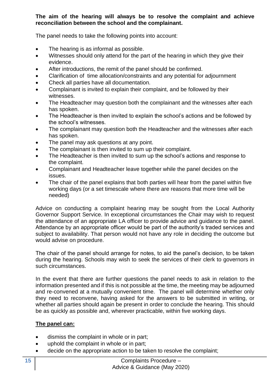#### **The aim of the hearing will always be to resolve the complaint and achieve reconciliation between the school and the complainant.**

The panel needs to take the following points into account:

- The hearing is as informal as possible.
- Witnesses should only attend for the part of the hearing in which they give their evidence.
- After introductions, the remit of the panel should be confirmed.
- Clarification of time allocation/constraints and any potential for adjournment
- Check all parties have all documentation.
- Complainant is invited to explain their complaint, and be followed by their witnesses.
- The Headteacher may question both the complainant and the witnesses after each has spoken.
- The Headteacher is then invited to explain the school's actions and be followed by the school's witnesses.
- The complainant may question both the Headteacher and the witnesses after each has spoken.
- The panel may ask questions at any point.
- The complainant is then invited to sum up their complaint.
- The Headteacher is then invited to sum up the school's actions and response to the complaint.
- Complainant and Headteacher leave together while the panel decides on the issues.
- The chair of the panel explains that both parties will hear from the panel within five working days (or a set timescale where there are reasons that more time will be needed)

Advice on conducting a complaint hearing may be sought from the Local Authority Governor Support Service. In exceptional circumstances the Chair may wish to request the attendance of an appropriate LA officer to provide advice and guidance to the panel. Attendance by an appropriate officer would be part of the authority's traded services and subject to availability. That person would not have any role in deciding the outcome but would advise on procedure.

The chair of the panel should arrange for notes, to aid the panel's decision, to be taken during the hearing. Schools may wish to seek the services of their clerk to governors in such circumstances.

In the event that there are further questions the panel needs to ask in relation to the information presented and if this is not possible at the time, the meeting may be adjourned and re-convened at a mutually convenient time. The panel will determine whether only they need to reconvene, having asked for the answers to be submitted in writing, or whether all parties should again be present in order to conclude the hearing. This should be as quickly as possible and, wherever practicable, within five working days.

#### **The panel can:**

- dismiss the complaint in whole or in part;
- uphold the complaint in whole or in part:
- decide on the appropriate action to be taken to resolve the complaint;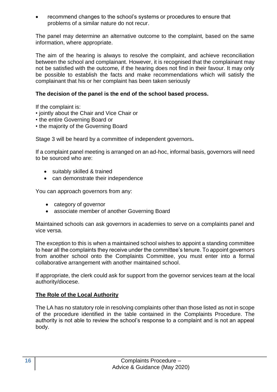• recommend changes to the school's systems or procedures to ensure that problems of a similar nature do not recur.

The panel may determine an alternative outcome to the complaint, based on the same information, where appropriate.

The aim of the hearing is always to resolve the complaint, and achieve reconciliation between the school and complainant. However, it is recognised that the complainant may not be satisfied with the outcome, if the hearing does not find in their favour. It may only be possible to establish the facts and make recommendations which will satisfy the complainant that his or her complaint has been taken seriously

#### **The decision of the panel is the end of the school based process.**

If the complaint is:

- jointly about the Chair and Vice Chair or
- the entire Governing Board or
- the majority of the Governing Board

Stage 3 will be heard by a committee of independent governors**.**

If a complaint panel meeting is arranged on an ad-hoc, informal basis, governors will need to be sourced who are:

- suitably skilled & trained
- can demonstrate their independence

You can approach governors from any:

- category of governor
- associate member of another Governing Board

Maintained schools can ask governors in academies to serve on a complaints panel and vice versa.

The exception to this is when a maintained school wishes to appoint a standing committee to hear all the complaints they receive under the committee's tenure. To appoint governors from another school onto the Complaints Committee, you must enter into a formal collaborative arrangement with another maintained school.

If appropriate, the clerk could ask for support from the governor services team at the local authority/diocese.

#### **The Role of the Local Authority**

The LA has no statutory role in resolving complaints other than those listed as not in scope of the procedure identified in the table contained in the Complaints Procedure. The authority is not able to review the school's response to a complaint and is not an appeal body.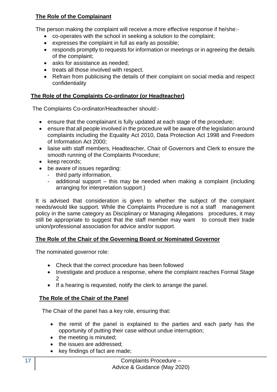#### **The Role of the Complainant**

The person making the complaint will receive a more effective response if he/she:-

- co-operates with the school in seeking a solution to the complaint;
- expresses the complaint in full as early as possible;
- responds promptly to requests for information or meetings or in agreeing the details of the complaint;
- asks for assistance as needed;
- treats all those involved with respect.
- Refrain from publicising the details of their complaint on social media and respect confidentiality

#### **The Role of the Complaints Co-ordinator (or Headteacher)**

The Complaints Co-ordinator/Headteacher should:-

- ensure that the complainant is fully updated at each stage of the procedure;
- ensure that all people involved in the procedure will be aware of the legislation around complaints including the Equality Act 2010, Data Protection Act 1998 and Freedom of Information Act 2000;
- liaise with staff members, Headteacher, Chair of Governors and Clerk to ensure the smooth running of the Complaints Procedure;
- keep records:
- be aware of issues regarding:
	- third party information,
	- additional support this may be needed when making a complaint (including arranging for interpretation support.)

It is advised that consideration is given to whether the subject of the complaint needs/would like support. While the Complaints Procedure is not a staff management policy in the same category as Disciplinary or Managing Allegations procedures, it may still be appropriate to suggest that the staff member may want to consult their trade union/professional association for advice and/or support.

#### **The Role of the Chair of the Governing Board or Nominated Governor**

The nominated governor role:

- Check that the correct procedure has been followed
- Investigate and produce a response, where the complaint reaches Formal Stage 2
- If a hearing is requested, notify the clerk to arrange the panel.

#### **The Role of the Chair of the Panel**

The Chair of the panel has a key role, ensuring that:

- the remit of the panel is explained to the parties and each party has the opportunity of putting their case without undue interruption;
- the meeting is minuted;
- the issues are addressed:
- key findings of fact are made;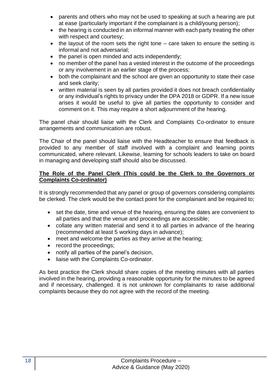- parents and others who may not be used to speaking at such a hearing are put at ease (particularly important if the complainant is a child/young person);
- the hearing is conducted in an informal manner with each party treating the other with respect and courtesy;
- the layout of the room sets the right tone care taken to ensure the setting is informal and not adversarial;
- the panel is open minded and acts independently;
- no member of the panel has a vested interest in the outcome of the proceedings or any involvement in an earlier stage of the process;
- both the complainant and the school are given an opportunity to state their case and seek clarity;
- written material is seen by all parties provided it does not breach confidentiality or any individual's rights to privacy under the DPA 2018 or GDPR. If a new issue arises it would be useful to give all parties the opportunity to consider and comment on it. This may require a short adjournment of the hearing.

The panel chair should liaise with the Clerk and Complaints Co-ordinator to ensure arrangements and communication are robust.

The Chair of the panel should liaise with the Headteacher to ensure that feedback is provided to any member of staff involved with a complaint and learning points communicated, where relevant. Likewise, learning for schools leaders to take on board in managing and developing staff should also be discussed.

#### **The Role of the Panel Clerk (This could be the Clerk to the Governors or Complaints Co-ordinator)**

It is strongly recommended that any panel or group of governors considering complaints be clerked. The clerk would be the contact point for the complainant and be required to;

- set the date, time and venue of the hearing, ensuring the dates are convenient to all parties and that the venue and proceedings are accessible;
- collate any written material and send it to all parties in advance of the hearing (recommended at least 5 working days in advance);
- meet and welcome the parties as they arrive at the hearing;
- record the proceedings;
- notify all parties of the panel's decision,
- liaise with the Complaints Co-ordinator.

As best practice the Clerk should share copies of the meeting minutes with all parties involved in the hearing, providing a reasonable opportunity for the minutes to be agreed and if necessary, challenged. It is not unknown for complainants to raise additional complaints because they do not agree with the record of the meeting.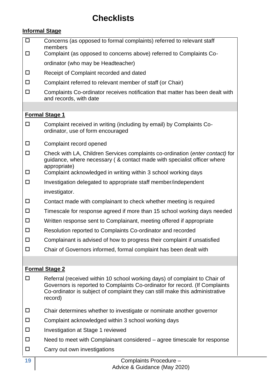## **Checklists**

#### **Informal Stage**

 $\square$  Concerns (as opposed to formal complaints) referred to relevant staff members Complaint (as opposed to concerns above) referred to Complaints Coordinator (who may be Headteacher) Receipt of Complaint recorded and dated  $\square$  Complaint referred to relevant member of staff (or Chair)  $\square$  Complaints Co-ordinator receives notification that matter has been dealt with and records, with date **Formal Stage 1**  $\square$  Complaint received in writing (including by email) by Complaints Coordinator, use of form encouraged  $\square$  Complaint record opened Check with LA, Children Services complaints co-ordination (*enter contact)* for guidance, where necessary ( & contact made with specialist officer where appropriate)  $\square$  Complaint acknowledged in writing within 3 school working days  $\square$  Investigation delegated to appropriate staff member/independent investigator.  $\Box$  Contact made with complainant to check whether meeting is required  $\square$  Timescale for response agreed if more than 15 school working days needed  $\Box$  Written response sent to Complainant, meeting offered if appropriate Resolution reported to Complaints Co-ordinator and recorded  $\square$  Complainant is advised of how to progress their complaint if unsatisfied Chair of Governors informed, formal complaint has been dealt with **Formal Stage 2**  $\Box$  Referral (received within 10 school working days) of complaint to Chair of Governors is reported to Complaints Co-ordinator for record. (If Complaints Co-ordinator is subject of complaint they can still make this administrative record)  $\square$  Chair determines whether to investigate or nominate another governor  $\square$  Complaint acknowledged within 3 school working days Investigation at Stage 1 reviewed  $\Box$  Need to meet with Complainant considered – agree timescale for response  $\square$  Carry out own investigations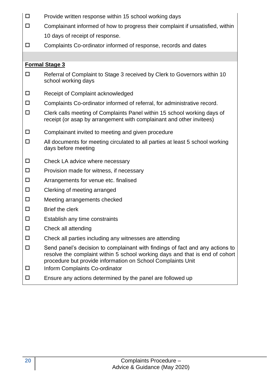- $\square$  Provide written response within 15 school working days
- $\square$  Complainant informed of how to progress their complaint if unsatisfied, within 10 days of receipt of response.
	-
- Complaints Co-ordinator informed of response, records and dates

#### **Formal Stage 3**

- □ Referral of Complaint to Stage 3 received by Clerk to Governors within 10 school working days
- Receipt of Complaint acknowledged
- $\square$  Complaints Co-ordinator informed of referral, for administrative record.
- $\square$  Clerk calls meeting of Complaints Panel within 15 school working days of receipt (or asap by arrangement with complainant and other invitees)
- $\square$  Complainant invited to meeting and given procedure
- $\Box$  All documents for meeting circulated to all parties at least 5 school working days before meeting
- $\square$  Check LA advice where necessary
- $\square$  Provision made for witness, if necessary
- $\square$  Arrangements for venue etc. finalised
- □ Clerking of meeting arranged
- $\square$  Meeting arrangements checked
- $\square$  Brief the clerk
- $\square$  Establish any time constraints
- $\square$  Check all attending
- $\square$  Check all parties including any witnesses are attending
- $\Box$  Send panel's decision to complainant with findings of fact and any actions to resolve the complaint within 5 school working days and that is end of cohort procedure but provide information on School Complaints Unit
- Inform Complaints Co-ordinator
- $\square$  Ensure any actions determined by the panel are followed up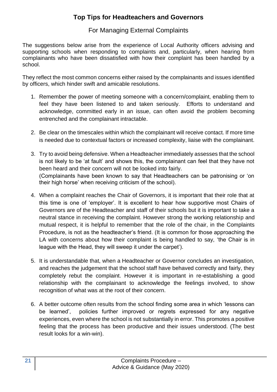### **Top Tips for Headteachers and Governors**

#### For Managing External Complaints

The suggestions below arise from the experience of Local Authority officers advising and supporting schools when responding to complaints and, particularly, when hearing from complainants who have been dissatisfied with how their complaint has been handled by a school.

They reflect the most common concerns either raised by the complainants and issues identified by officers, which hinder swift and amicable resolutions.

- 1. Remember the power of meeting someone with a concern/complaint, enabling them to feel they have been listened to and taken seriously. Efforts to understand and acknowledge, committed early in an issue, can often avoid the problem becoming entrenched and the complainant intractable.
- 2. Be clear on the timescales within which the complainant will receive contact. If more time is needed due to contextual factors or increased complexity, liaise with the complainant.
- 3. Try to avoid being defensive. When a Headteacher immediately assesses that the school is not likely to be 'at fault' and shows this, the complainant can feel that they have not been heard and their concern will not be looked into fairly. (Complainants have been known to say that Headteachers can be patronising or 'on their high horse' when receiving criticism of the school).
- 4. When a complaint reaches the Chair of Governors, it is important that their role that at this time is one of 'employer'. It is excellent to hear how supportive most Chairs of Governors are of the Headteacher and staff of their schools but it is important to take a neutral stance in receiving the complaint. However strong the working relationship and mutual respect, it is helpful to remember that the role of the chair, in the Complaints Procedure, is not as the headteacher's friend. (It is common for those approaching the LA with concerns about how their complaint is being handled to say, 'the Chair is in league with the Head, they will sweep it under the carpet').
- 5. It is understandable that, when a Headteacher or Governor concludes an investigation, and reaches the judgement that the school staff have behaved correctly and fairly, they completely rebut the complaint. However it is important in re-establishing a good relationship with the complainant to acknowledge the feelings involved, to show recognition of what was at the root of their concern.
- 6. A better outcome often results from the school finding some area in which 'lessons can be learned', policies further improved or regrets expressed for any negative experiences, even where the school is not substantially in error. This promotes a positive feeling that the process has been productive and their issues understood. (The best result looks for a win-win).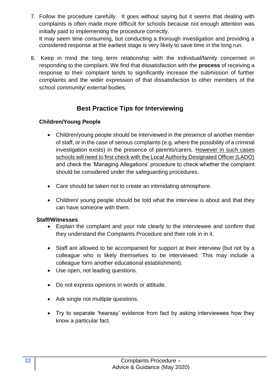- 7. Follow the procedure carefully. It goes without saying but it seems that dealing with complaints is often made more difficult for schools because not enough attention was initially paid to implementing the procedure correctly. It may seem time consuming, but conducting a thorough investigation and providing a considered response at the earliest stage is very likely to save time in the long run.
- 8. Keep in mind the long term relationship with the individual/family concerned in responding to the complaint. We find that dissatisfaction with the **process** of receiving a response to their complaint tends to significantly increase the submission of further complaints and the wider expression of that dissatisfaction to other members of the school community/ external bodies.

## **Best Practice Tips for Interviewing**

#### **Children/Young People**

- Children/young people should be interviewed in the presence of another member of staff, or in the case of serious complaints (e.g. where the possibility of a criminal investigation exists) in the presence of parents/carers. However in such cases schools will need to first check with the Local Authority Designated Officer (LADO) and check the 'Managing Allegations' procedure to check whether the complaint should be considered under the safeguarding procedures.
- Care should be taken not to create an intimidating atmosphere.
- Children/ young people should be told what the interview is about and that they can have someone with them.

#### **Staff/Witnesses**

- Explain the complaint and your role clearly to the interviewee and confirm that they understand the Complaints Procedure and their role in in it.
- Staff are allowed to be accompanied for support at their interview (but not by a colleague who is likely themselves to be interviewed. This may include a colleague form another educational establishment).
- Use open, not leading questions.
- Do not express opinions in words or attitude.
- Ask single not multiple questions.
- Try to separate 'hearsay' evidence from fact by asking interviewees how they know a particular fact.